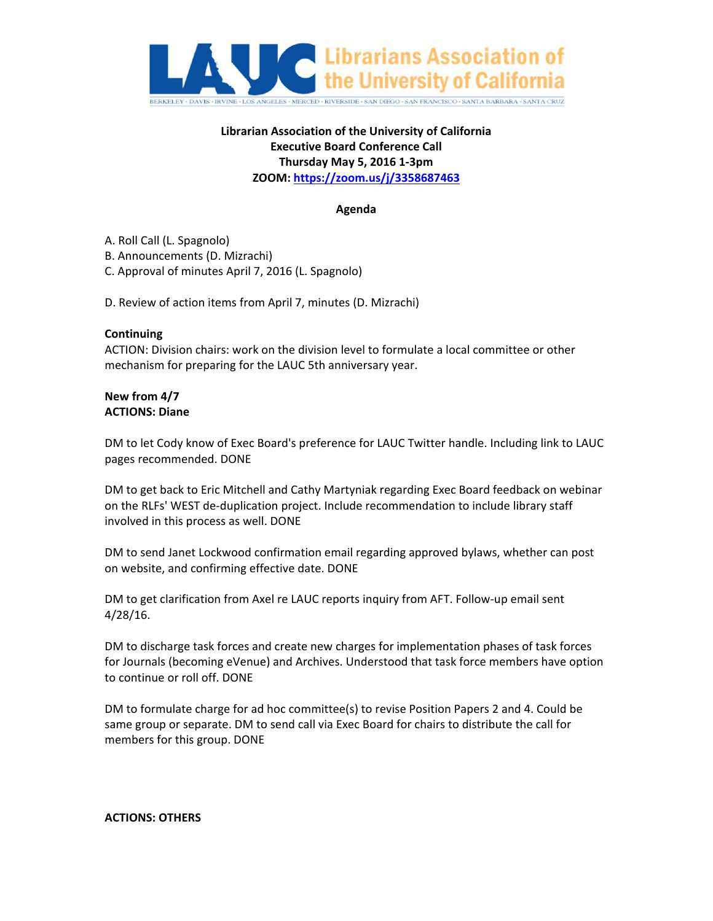

# **Librarian Association of the University of California Executive Board Conference Call Thursday May 5, 2016 1‐3pm ZOOM: https://zoom.us/j/3358687463**

## **Agenda**

A. Roll Call (L. Spagnolo)

B. Announcements (D. Mizrachi)

C. Approval of minutes April 7, 2016 (L. Spagnolo)

D. Review of action items from April 7, minutes (D. Mizrachi)

#### **Continuing**

ACTION: Division chairs: work on the division level to formulate a local committee or other mechanism for preparing for the LAUC 5th anniversary year.

### **New from 4/7 ACTIONS: Diane**

DM to let Cody know of Exec Board's preference for LAUC Twitter handle. Including link to LAUC pages recommended. DONE

DM to get back to Eric Mitchell and Cathy Martyniak regarding Exec Board feedback on webinar on the RLFs' WEST de‐duplication project. Include recommendation to include library staff involved in this process as well. DONE

DM to send Janet Lockwood confirmation email regarding approved bylaws, whether can post on website, and confirming effective date. DONE

DM to get clarification from Axel re LAUC reports inquiry from AFT. Follow‐up email sent 4/28/16.

DM to discharge task forces and create new charges for implementation phases of task forces for Journals (becoming eVenue) and Archives. Understood that task force members have option to continue or roll off. DONE

DM to formulate charge for ad hoc committee(s) to revise Position Papers 2 and 4. Could be same group or separate. DM to send call via Exec Board for chairs to distribute the call for members for this group. DONE

#### **ACTIONS: OTHERS**